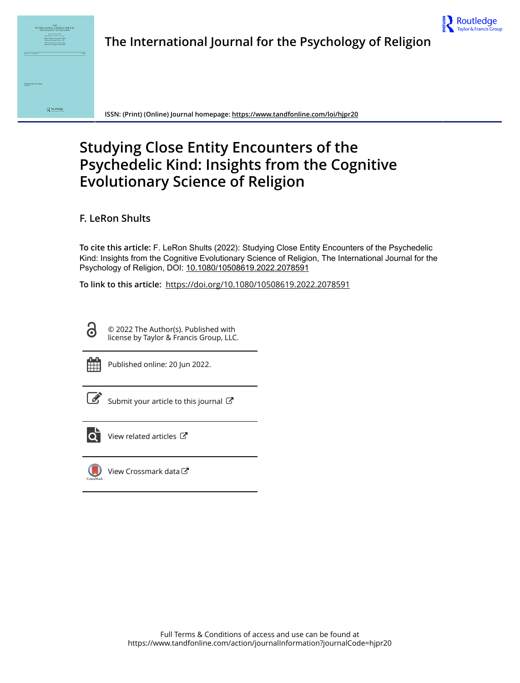



**ISSN: (Print) (Online) Journal homepage:<https://www.tandfonline.com/loi/hjpr20>**

# **Studying Close Entity Encounters of the Psychedelic Kind: Insights from the Cognitive Evolutionary Science of Religion**

**F. LeRon Shults**

**To cite this article:** F. LeRon Shults (2022): Studying Close Entity Encounters of the Psychedelic Kind: Insights from the Cognitive Evolutionary Science of Religion, The International Journal for the Psychology of Religion, DOI: [10.1080/10508619.2022.2078591](https://www.tandfonline.com/action/showCitFormats?doi=10.1080/10508619.2022.2078591)

**To link to this article:** <https://doi.org/10.1080/10508619.2022.2078591>

© 2022 The Author(s). Published with license by Taylor & Francis Group, LLC.



Ō

Published online: 20 Jun 2022.

[Submit your article to this journal](https://www.tandfonline.com/action/authorSubmission?journalCode=hjpr20&show=instructions)  $\mathbb{Z}$ 



[View related articles](https://www.tandfonline.com/doi/mlt/10.1080/10508619.2022.2078591)  $\mathbb{Z}$ 



[View Crossmark data](http://crossmark.crossref.org/dialog/?doi=10.1080/10508619.2022.2078591&domain=pdf&date_stamp=2022-06-20)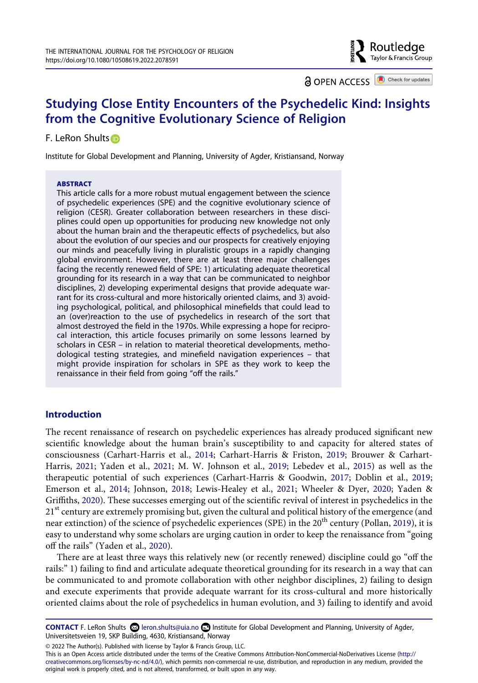**a** OPEN ACCESS **a** Check for updates

⊦ Routledge Taylor & Francis Group

# **Studying Close Entity Encounters of the Psychedelic Kind: Insights from the Cognitive Evolutionary Science of Religion**

# F. LeRon Shults iD

Institute for Global Development and Planning, University of Agder, Kristiansand, Norway

#### **ABSTRACT**

This article calls for a more robust mutual engagement between the science of psychedelic experiences (SPE) and the cognitive evolutionary science of religion (CESR). Greater collaboration between researchers in these disciplines could open up opportunities for producing new knowledge not only about the human brain and the therapeutic effects of psychedelics, but also about the evolution of our species and our prospects for creatively enjoying our minds and peacefully living in pluralistic groups in a rapidly changing global environment. However, there are at least three major challenges facing the recently renewed field of SPE: 1) articulating adequate theoretical grounding for its research in a way that can be communicated to neighbor disciplines, 2) developing experimental designs that provide adequate warrant for its cross-cultural and more historically oriented claims, and 3) avoiding psychological, political, and philosophical minefields that could lead to an (over)reaction to the use of psychedelics in research of the sort that almost destroyed the field in the 1970s. While expressing a hope for reciprocal interaction, this article focuses primarily on some lessons learned by scholars in CESR – in relation to material theoretical developments, methodological testing strategies, and minefield navigation experiences – that might provide inspiration for scholars in SPE as they work to keep the renaissance in their field from going "off the rails."

# **Introduction**

<span id="page-1-3"></span><span id="page-1-2"></span><span id="page-1-1"></span><span id="page-1-0"></span>The recent renaissance of research on psychedelic experiences has already produced significant new scientific knowledge about the human brain's susceptibility to and capacity for altered states of consciousness (Carhart-Harris et al., [2014;](#page-12-0) Carhart-Harris & Friston, [2019;](#page-12-1) Brouwer & Carhart-Harris, [2021](#page-11-0); Yaden et al., [2021](#page-15-0); M. W. Johnson et al., [2019](#page-12-2); Lebedev et al., [2015\)](#page-13-0) as well as the therapeutic potential of such experiences (Carhart-Harris & Goodwin, [2017;](#page-12-3) Doblin et al., [2019;](#page-12-4) Emerson et al., [2014;](#page-12-5) Johnson, [2018](#page-12-6); Lewis-Healey et al., [2021](#page-13-1); Wheeler & Dyer, [2020;](#page-14-0) Yaden & Griffiths, [2020](#page-15-1)). These successes emerging out of the scientific revival of interest in psychedelics in the  $21<sup>st</sup>$  century are extremely promising but, given the cultural and political history of the emergence (and near extinction) of the science of psychedelic experiences (SPE) in the  $20<sup>th</sup>$  century (Pollan, [2019\)](#page-13-2), it is easy to understand why some scholars are urging caution in order to keep the renaissance from "going off the rails" (Yaden et al., [2020](#page-15-2)).

<span id="page-1-6"></span><span id="page-1-5"></span><span id="page-1-4"></span>There are at least three ways this relatively new (or recently renewed) discipline could go "off the rails:" 1) failing to find and articulate adequate theoretical grounding for its research in a way that can be communicated to and promote collaboration with other neighbor disciplines, 2) failing to design and execute experiments that provide adequate warrant for its cross-cultural and more historically oriented claims about the role of psychedelics in human evolution, and 3) failing to identify and avoid

**CONTACT** F. LeRon Shults leron.shults@uia.no Institute for Global Development and Planning, University of Agder, Universitetsveien 19, SKP Building, 4630, Kristiansand, Norway

© 2022 The Author(s). Published with license by Taylor & Francis Group, LLC.

This is an Open Access article distributed under the terms of the Creative Commons Attribution-NonCommercial-NoDerivatives License (http:// creativecommons.org/licenses/by-nc-nd/4.0/), which permits non-commercial re-use, distribution, and reproduction in any medium, provided the original work is properly cited, and is not altered, transformed, or built upon in any way.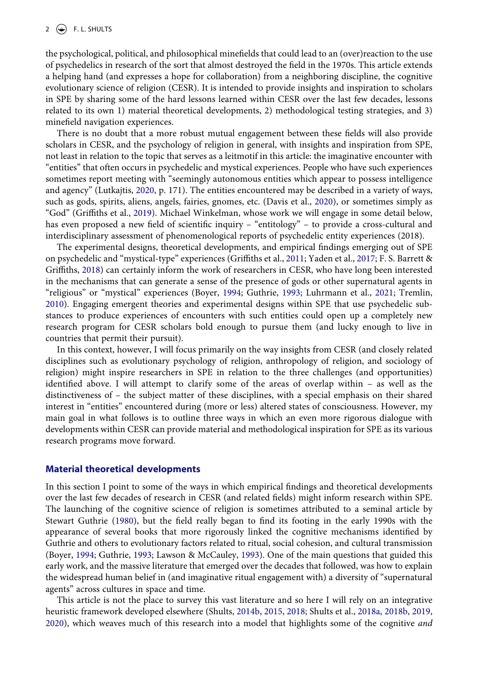the psychological, political, and philosophical minefields that could lead to an (over)reaction to the use of psychedelics in research of the sort that almost destroyed the field in the 1970s. This article extends a helping hand (and expresses a hope for collaboration) from a neighboring discipline, the cognitive evolutionary science of religion (CESR). It is intended to provide insights and inspiration to scholars in SPE by sharing some of the hard lessons learned within CESR over the last few decades, lessons related to its own 1) material theoretical developments, 2) methodological testing strategies, and 3) minefield navigation experiences.

<span id="page-2-7"></span>There is no doubt that a more robust mutual engagement between these fields will also provide scholars in CESR, and the psychology of religion in general, with insights and inspiration from SPE, not least in relation to the topic that serves as a leitmotif in this article: the imaginative encounter with "entities" that often occurs in psychedelic and mystical experiences. People who have such experiences sometimes report meeting with "seemingly autonomous entities which appear to possess intelligence and agency" (Lutkajtis, [2020,](#page-13-3) p. 171). The entities encountered may be described in a variety of ways, such as gods, spirits, aliens, angels, fairies, gnomes, etc. (Davis et al., [2020\)](#page-12-7), or sometimes simply as "God" (Griffiths et al., [2019\)](#page-12-8). Michael Winkelman, whose work we will engage in some detail below, has even proposed a new field of scientific inquiry – "entitology" – to provide a cross-cultural and interdisciplinary assessment of phenomenological reports of psychedelic entity experiences (2018).

<span id="page-2-6"></span><span id="page-2-4"></span><span id="page-2-3"></span><span id="page-2-2"></span><span id="page-2-0"></span>The experimental designs, theoretical developments, and empirical findings emerging out of SPE on psychedelic and "mystical-type" experiences (Griffiths et al., [2011;](#page-12-9) Yaden et al., [2017](#page-15-3); F. S. Barrett & Griffiths, [2018\)](#page-11-1) can certainly inform the work of researchers in CESR, who have long been interested in the mechanisms that can generate a sense of the presence of gods or other supernatural agents in "religious" or "mystical" experiences (Boyer, [1994](#page-11-2); Guthrie, [1993;](#page-12-10) Luhrmann et al., [2021;](#page-13-4) Tremlin, [2010](#page-14-1)). Engaging emergent theories and experimental designs within SPE that use psychedelic substances to produce experiences of encounters with such entities could open up a completely new research program for CESR scholars bold enough to pursue them (and lucky enough to live in countries that permit their pursuit).

In this context, however, I will focus primarily on the way insights from CESR (and closely related disciplines such as evolutionary psychology of religion, anthropology of religion, and sociology of religion) might inspire researchers in SPE in relation to the three challenges (and opportunities) identified above. I will attempt to clarify some of the areas of overlap within – as well as the distinctiveness of – the subject matter of these disciplines, with a special emphasis on their shared interest in "entities" encountered during (more or less) altered states of consciousness. However, my main goal in what follows is to outline three ways in which an even more rigorous dialogue with developments within CESR can provide material and methodological inspiration for SPE as its various research programs move forward.

#### **Material theoretical developments**

<span id="page-2-5"></span>In this section I point to some of the ways in which empirical findings and theoretical developments over the last few decades of research in CESR (and related fields) might inform research within SPE. The launching of the cognitive science of religion is sometimes attributed to a seminal article by Stewart Guthrie [\(1980\)](#page-12-11), but the field really began to find its footing in the early 1990s with the appearance of several books that more rigorously linked the cognitive mechanisms identified by Guthrie and others to evolutionary factors related to ritual, social cohesion, and cultural transmission (Boyer, [1994](#page-11-2); Guthrie, [1993;](#page-12-10) Lawson & McCauley, [1993](#page-13-5)). One of the main questions that guided this early work, and the massive literature that emerged over the decades that followed, was how to explain the widespread human belief in (and imaginative ritual engagement with) a diversity of "supernatural agents" across cultures in space and time.

<span id="page-2-8"></span><span id="page-2-1"></span>This article is not the place to survey this vast literature and so here I will rely on an integrative heuristic framework developed elsewhere (Shults, [2014b,](#page-14-2) [2015,](#page-14-3) [2018;](#page-14-4) Shults et al., [2018a,](#page-14-5) [2018b,](#page-14-6) [2019,](#page-14-7) [2020](#page-14-8)), which weaves much of this research into a model that highlights some of the cognitive *and*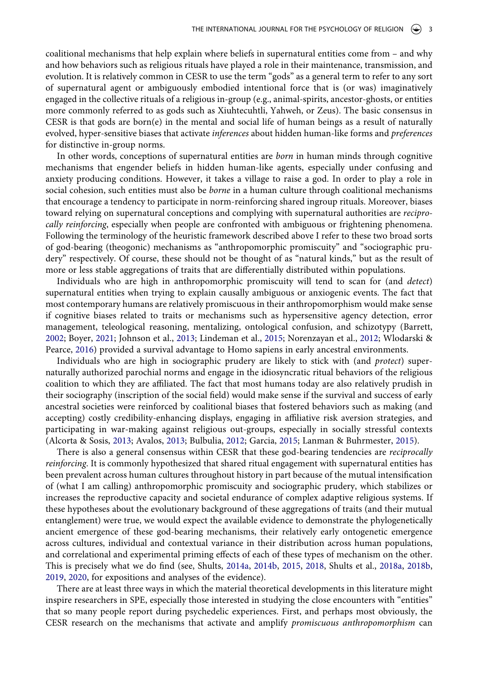coalitional mechanisms that help explain where beliefs in supernatural entities come from – and why and how behaviors such as religious rituals have played a role in their maintenance, transmission, and evolution. It is relatively common in CESR to use the term "gods" as a general term to refer to any sort of supernatural agent or ambiguously embodied intentional force that is (or was) imaginatively engaged in the collective rituals of a religious in-group (e.g., animal-spirits, ancestor-ghosts, or entities more commonly referred to as gods such as Xiuhtecuhtli, Yahweh, or Zeus). The basic consensus in CESR is that gods are born $(e)$  in the mental and social life of human beings as a result of naturally evolved, hyper-sensitive biases that activate *inferences* about hidden human-like forms and *preferences*  for distinctive in-group norms.

In other words, conceptions of supernatural entities are *born* in human minds through cognitive mechanisms that engender beliefs in hidden human-like agents, especially under confusing and anxiety producing conditions. However, it takes a village to raise a god. In order to play a role in social cohesion, such entities must also be *borne* in a human culture through coalitional mechanisms that encourage a tendency to participate in norm-reinforcing shared ingroup rituals. Moreover, biases toward relying on supernatural conceptions and complying with supernatural authorities are *reciprocally reinforcing*, especially when people are confronted with ambiguous or frightening phenomena. Following the terminology of the heuristic framework described above I refer to these two broad sorts of god-bearing (theogonic) mechanisms as "anthropomorphic promiscuity" and "sociographic prudery" respectively. Of course, these should not be thought of as "natural kinds," but as the result of more or less stable aggregations of traits that are differentially distributed within populations.

Individuals who are high in anthropomorphic promiscuity will tend to scan for (and *detect*) supernatural entities when trying to explain causally ambiguous or anxiogenic events. The fact that most contemporary humans are relatively promiscuous in their anthropomorphism would make sense if cognitive biases related to traits or mechanisms such as hypersensitive agency detection, error management, teleological reasoning, mentalizing, ontological confusion, and schizotypy (Barrett, [2002](#page-11-3); Boyer, [2021](#page-11-4); Johnson et al., [2013](#page-12-12); Lindeman et al., [2015](#page-13-6); Norenzayan et al., [2012;](#page-13-7) Wlodarski & Pearce, [2016\)](#page-15-4) provided a survival advantage to Homo sapiens in early ancestral environments.

<span id="page-3-4"></span><span id="page-3-2"></span><span id="page-3-1"></span>Individuals who are high in sociographic prudery are likely to stick with (and *protect*) supernaturally authorized parochial norms and engage in the idiosyncratic ritual behaviors of the religious coalition to which they are affiliated. The fact that most humans today are also relatively prudish in their sociography (inscription of the social field) would make sense if the survival and success of early ancestral societies were reinforced by coalitional biases that fostered behaviors such as making (and accepting) costly credibility-enhancing displays, engaging in affiliative risk aversion strategies, and participating in war-making against religious out-groups, especially in socially stressful contexts (Alcorta & Sosis, [2013](#page-11-5); Avalos, [2013;](#page-11-6) Bulbulia, [2012;](#page-11-7) Garcia, [2015;](#page-12-13) Lanman & Buhrmester, [2015\)](#page-13-8).

<span id="page-3-0"></span>There is also a general consensus within CESR that these god-bearing tendencies are *reciprocally reinforcing*. It is commonly hypothesized that shared ritual engagement with supernatural entities has been prevalent across human cultures throughout history in part because of the mutual intensification of (what I am calling) anthropomorphic promiscuity and sociographic prudery, which stabilizes or increases the reproductive capacity and societal endurance of complex adaptive religious systems. If these hypotheses about the evolutionary background of these aggregations of traits (and their mutual entanglement) were true, we would expect the available evidence to demonstrate the phylogenetically ancient emergence of these god-bearing mechanisms, their relatively early ontogenetic emergence across cultures, individual and contextual variance in their distribution across human populations, and correlational and experimental priming effects of each of these types of mechanism on the other. This is precisely what we do find (see, Shults, [2014a](#page-14-9), [2014b](#page-14-2), [2015,](#page-14-3) [2018,](#page-14-4) Shults et al., [2018a,](#page-14-5) [2018b,](#page-14-6) [2019](#page-14-7), [2020,](#page-14-8) for expositions and analyses of the evidence).

<span id="page-3-3"></span>There are at least three ways in which the material theoretical developments in this literature might inspire researchers in SPE, especially those interested in studying the close encounters with "entities" that so many people report during psychedelic experiences. First, and perhaps most obviously, the CESR research on the mechanisms that activate and amplify *promiscuous anthropomorphism* can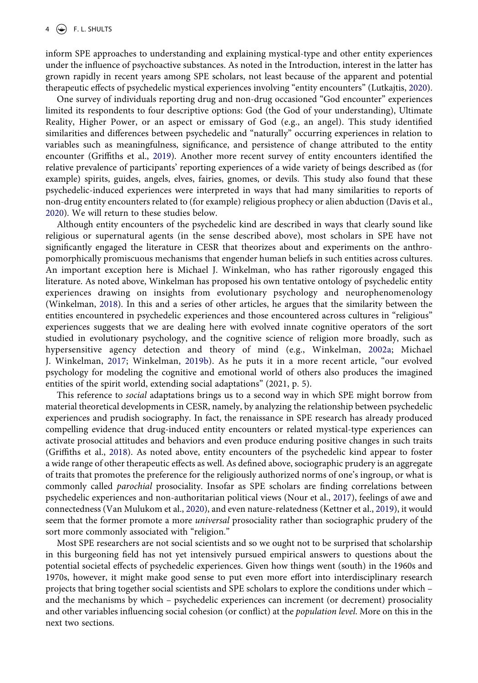inform SPE approaches to understanding and explaining mystical-type and other entity experiences under the influence of psychoactive substances. As noted in the Introduction, interest in the latter has grown rapidly in recent years among SPE scholars, not least because of the apparent and potential therapeutic effects of psychedelic mystical experiences involving "entity encounters" (Lutkajtis, [2020](#page-13-3)).

One survey of individuals reporting drug and non-drug occasioned "God encounter" experiences limited its respondents to four descriptive options: God (the God of your understanding), Ultimate Reality, Higher Power, or an aspect or emissary of God (e.g., an angel). This study identified similarities and differences between psychedelic and "naturally" occurring experiences in relation to variables such as meaningfulness, significance, and persistence of change attributed to the entity encounter (Griffiths et al., [2019](#page-12-8)). Another more recent survey of entity encounters identified the relative prevalence of participants' reporting experiences of a wide variety of beings described as (for example) spirits, guides, angels, elves, fairies, gnomes, or devils. This study also found that these psychedelic-induced experiences were interpreted in ways that had many similarities to reports of non-drug entity encounters related to (for example) religious prophecy or alien abduction (Davis et al., [2020](#page-12-7)). We will return to these studies below.

<span id="page-4-5"></span>Although entity encounters of the psychedelic kind are described in ways that clearly sound like religious or supernatural agents (in the sense described above), most scholars in SPE have not significantly engaged the literature in CESR that theorizes about and experiments on the anthropomorphically promiscuous mechanisms that engender human beliefs in such entities across cultures. An important exception here is Michael J. Winkelman, who has rather rigorously engaged this literature. As noted above, Winkelman has proposed his own tentative ontology of psychedelic entity experiences drawing on insights from evolutionary psychology and neurophenomenology (Winkelman, [2018](#page-15-5)). In this and a series of other articles, he argues that the similarity between the entities encountered in psychedelic experiences and those encountered across cultures in "religious" experiences suggests that we are dealing here with evolved innate cognitive operators of the sort studied in evolutionary psychology, and the cognitive science of religion more broadly, such as hypersensitive agency detection and theory of mind (e.g., Winkelman, [2002a;](#page-15-6) Michael J. Winkelman, [2017](#page-15-7); Winkelman, [2019b\)](#page-15-8). As he puts it in a more recent article, "our evolved psychology for modeling the cognitive and emotional world of others also produces the imagined entities of the spirit world, extending social adaptations" (2021, p. 5).

<span id="page-4-4"></span><span id="page-4-3"></span><span id="page-4-0"></span>This reference to *social* adaptations brings us to a second way in which SPE might borrow from material theoretical developments in CESR, namely, by analyzing the relationship between psychedelic experiences and prudish sociography. In fact, the renaissance in SPE research has already produced compelling evidence that drug-induced entity encounters or related mystical-type experiences can activate prosocial attitudes and behaviors and even produce enduring positive changes in such traits (Griffiths et al., [2018](#page-12-14)). As noted above, entity encounters of the psychedelic kind appear to foster a wide range of other therapeutic effects as well. As defined above, sociographic prudery is an aggregate of traits that promotes the preference for the religiously authorized norms of one's ingroup, or what is commonly called *parochial* prosociality. Insofar as SPE scholars are finding correlations between psychedelic experiences and non-authoritarian political views (Nour et al., [2017](#page-13-9)), feelings of awe and connectedness (Van Mulukom et al., [2020](#page-14-10)), and even nature-relatedness (Kettner et al., [2019](#page-12-15)), it would seem that the former promote a more *universal* prosociality rather than sociographic prudery of the sort more commonly associated with "religion."

<span id="page-4-2"></span><span id="page-4-1"></span>Most SPE researchers are not social scientists and so we ought not to be surprised that scholarship in this burgeoning field has not yet intensively pursued empirical answers to questions about the potential societal effects of psychedelic experiences. Given how things went (south) in the 1960s and 1970s, however, it might make good sense to put even more effort into interdisciplinary research projects that bring together social scientists and SPE scholars to explore the conditions under which – and the mechanisms by which – psychedelic experiences can increment (or decrement) prosociality and other variables influencing social cohesion (or conflict) at the *population level*. More on this in the next two sections.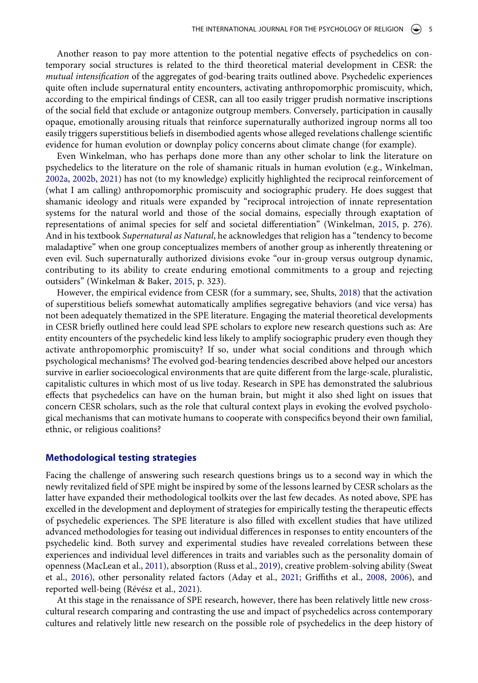Another reason to pay more attention to the potential negative effects of psychedelics on contemporary social structures is related to the third theoretical material development in CESR: the *mutual intensification* of the aggregates of god-bearing traits outlined above. Psychedelic experiences quite often include supernatural entity encounters, activating anthropomorphic promiscuity, which, according to the empirical findings of CESR, can all too easily trigger prudish normative inscriptions of the social field that exclude or antagonize outgroup members. Conversely, participation in causally opaque, emotionally arousing rituals that reinforce supernaturally authorized ingroup norms all too easily triggers superstitious beliefs in disembodied agents whose alleged revelations challenge scientific evidence for human evolution or downplay policy concerns about climate change (for example).

<span id="page-5-5"></span><span id="page-5-3"></span>Even Winkelman, who has perhaps done more than any other scholar to link the literature on psychedelics to the literature on the role of shamanic rituals in human evolution (e.g., Winkelman, [2002a,](#page-15-6) [2002b,](#page-15-9) [2021\)](#page-15-10) has not (to my knowledge) explicitly highlighted the reciprocal reinforcement of (what I am calling) anthropomorphic promiscuity and sociographic prudery. He does suggest that shamanic ideology and rituals were expanded by "reciprocal introjection of innate representation systems for the natural world and those of the social domains, especially through exaptation of representations of animal species for self and societal differentiation" (Winkelman, [2015](#page-15-11), p. 276). And in his textbook *Supernatural as Natural*, he acknowledges that religion has a "tendency to become maladaptive" when one group conceptualizes members of another group as inherently threatening or even evil. Such supernaturally authorized divisions evoke "our in-group versus outgroup dynamic, contributing to its ability to create enduring emotional commitments to a group and rejecting outsiders" (Winkelman & Baker, [2015,](#page-15-12) p. 323).

<span id="page-5-4"></span>However, the empirical evidence from CESR (for a summary, see, Shults, [2018\)](#page-14-4) that the activation of superstitious beliefs somewhat automatically amplifies segregative behaviors (and vice versa) has not been adequately thematized in the SPE literature. Engaging the material theoretical developments in CESR briefly outlined here could lead SPE scholars to explore new research questions such as: Are entity encounters of the psychedelic kind less likely to amplify sociographic prudery even though they activate anthropomorphic promiscuity? If so, under what social conditions and through which psychological mechanisms? The evolved god-bearing tendencies described above helped our ancestors survive in earlier socioecological environments that are quite different from the large-scale, pluralistic, capitalistic cultures in which most of us live today. Research in SPE has demonstrated the salubrious effects that psychedelics can have on the human brain, but might it also shed light on issues that concern CESR scholars, such as the role that cultural context plays in evoking the evolved psychological mechanisms that can motivate humans to cooperate with conspecifics beyond their own familial, ethnic, or religious coalitions?

#### **Methodological testing strategies**

Facing the challenge of answering such research questions brings us to a second way in which the newly revitalized field of SPE might be inspired by some of the lessons learned by CESR scholars as the latter have expanded their methodological toolkits over the last few decades. As noted above, SPE has excelled in the development and deployment of strategies for empirically testing the therapeutic effects of psychedelic experiences. The SPE literature is also filled with excellent studies that have utilized advanced methodologies for teasing out individual differences in responses to entity encounters of the psychedelic kind. Both survey and experimental studies have revealed correlations between these experiences and individual level differences in traits and variables such as the personality domain of openness (MacLean et al., [2011](#page-13-10)), absorption (Russ et al., [2019](#page-13-11)), creative problem-solving ability (Sweat et al., [2016](#page-14-11)), other personality related factors (Aday et al., [2021](#page-11-8); Griffiths et al., [2008,](#page-12-16) [2006](#page-12-17)), and reported well-being (Révész et al., [2021](#page-13-12)).

<span id="page-5-2"></span><span id="page-5-1"></span><span id="page-5-0"></span>At this stage in the renaissance of SPE research, however, there has been relatively little new crosscultural research comparing and contrasting the use and impact of psychedelics across contemporary cultures and relatively little new research on the possible role of psychedelics in the deep history of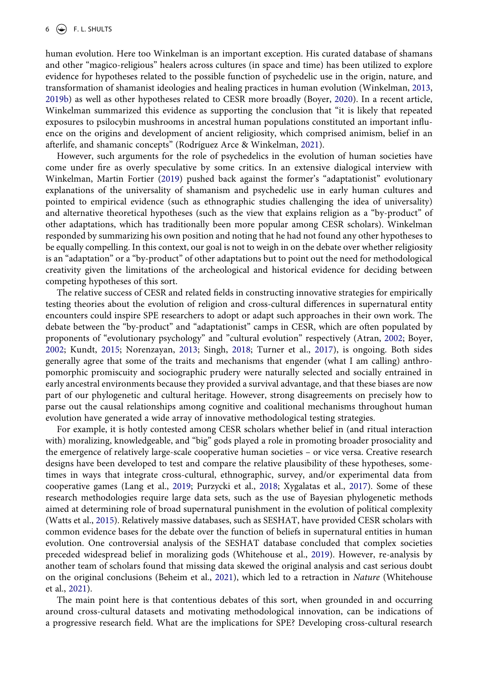<span id="page-6-10"></span><span id="page-6-2"></span>human evolution. Here too Winkelman is an important exception. His curated database of shamans and other "magico-religious" healers across cultures (in space and time) has been utilized to explore evidence for hypotheses related to the possible function of psychedelic use in the origin, nature, and transformation of shamanist ideologies and healing practices in human evolution (Winkelman, [2013,](#page-15-13) [2019b](#page-15-14)) as well as other hypotheses related to CESR more broadly (Boyer, [2020\)](#page-11-9). In a recent article, Winkelman summarized this evidence as supporting the conclusion that "it is likely that repeated exposures to psilocybin mushrooms in ancestral human populations constituted an important influence on the origins and development of ancient religiosity, which comprised animism, belief in an afterlife, and shamanic concepts" (Rodríguez Arce & Winkelman, [2021](#page-13-13)).

<span id="page-6-6"></span><span id="page-6-3"></span>However, such arguments for the role of psychedelics in the evolution of human societies have come under fire as overly speculative by some critics. In an extensive dialogical interview with Winkelman, Martin Fortier [\(2019](#page-12-18)) pushed back against the former's "adaptationist" evolutionary explanations of the universality of shamanism and psychedelic use in early human cultures and pointed to empirical evidence (such as ethnographic studies challenging the idea of universality) and alternative theoretical hypotheses (such as the view that explains religion as a "by-product" of other adaptations, which has traditionally been more popular among CESR scholars). Winkelman responded by summarizing his own position and noting that he had not found any other hypotheses to be equally compelling. In this context, our goal is not to weigh in on the debate over whether religiosity is an "adaptation" or a "by-product" of other adaptations but to point out the need for methodological creativity given the limitations of the archeological and historical evidence for deciding between competing hypotheses of this sort.

<span id="page-6-4"></span><span id="page-6-0"></span>The relative success of CESR and related fields in constructing innovative strategies for empirically testing theories about the evolution of religion and cross-cultural differences in supernatural entity encounters could inspire SPE researchers to adopt or adapt such approaches in their own work. The debate between the "by-product" and "adaptationist" camps in CESR, which are often populated by proponents of "evolutionary psychology" and "cultural evolution" respectively (Atran, [2002;](#page-11-10) Boyer, [2002](#page-11-11); Kundt, [2015](#page-12-19); Norenzayan, [2013](#page-13-14); Singh, [2018](#page-14-12); Turner et al., [2017](#page-14-13)), is ongoing. Both sides generally agree that some of the traits and mechanisms that engender (what I am calling) anthropomorphic promiscuity and sociographic prudery were naturally selected and socially entrained in early ancestral environments because they provided a survival advantage, and that these biases are now part of our phylogenetic and cultural heritage. However, strong disagreements on precisely how to parse out the causal relationships among cognitive and coalitional mechanisms throughout human evolution have generated a wide array of innovative methodological testing strategies.

<span id="page-6-5"></span>For example, it is hotly contested among CESR scholars whether belief in (and ritual interaction with) moralizing, knowledgeable, and "big" gods played a role in promoting broader prosociality and the emergence of relatively large-scale cooperative human societies – or vice versa. Creative research designs have been developed to test and compare the relative plausibility of these hypotheses, sometimes in ways that integrate cross-cultural, ethnographic, survey, and/or experimental data from cooperative games (Lang et al., [2019](#page-13-15); Purzycki et al., [2018;](#page-13-16) Xygalatas et al., [2017](#page-15-15)). Some of these research methodologies require large data sets, such as the use of Bayesian phylogenetic methods aimed at determining role of broad supernatural punishment in the evolution of political complexity (Watts et al., [2015](#page-14-14)). Relatively massive databases, such as SESHAT, have provided CESR scholars with common evidence bases for the debate over the function of beliefs in supernatural entities in human evolution. One controversial analysis of the SESHAT database concluded that complex societies preceded widespread belief in moralizing gods (Whitehouse et al., [2019](#page-14-15)). However, re-analysis by another team of scholars found that missing data skewed the original analysis and cast serious doubt on the original conclusions (Beheim et al., [2021\)](#page-11-12), which led to a retraction in *Nature* (Whitehouse et al., [2021\)](#page-14-16).

<span id="page-6-9"></span><span id="page-6-8"></span><span id="page-6-7"></span><span id="page-6-1"></span>The main point here is that contentious debates of this sort, when grounded in and occurring around cross-cultural datasets and motivating methodological innovation, can be indications of a progressive research field. What are the implications for SPE? Developing cross-cultural research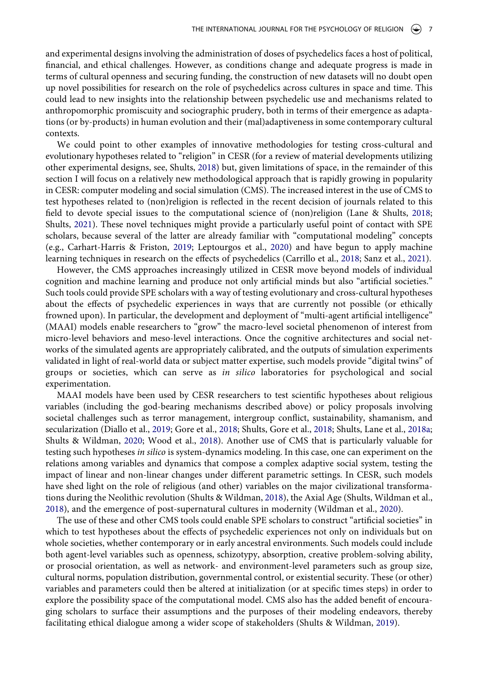and experimental designs involving the administration of doses of psychedelics faces a host of political, financial, and ethical challenges. However, as conditions change and adequate progress is made in terms of cultural openness and securing funding, the construction of new datasets will no doubt open up novel possibilities for research on the role of psychedelics across cultures in space and time. This could lead to new insights into the relationship between psychedelic use and mechanisms related to anthropomorphic promiscuity and sociographic prudery, both in terms of their emergence as adaptations (or by-products) in human evolution and their (mal)adaptiveness in some contemporary cultural contexts.

We could point to other examples of innovative methodologies for testing cross-cultural and evolutionary hypotheses related to "religion" in CESR (for a review of material developments utilizing other experimental designs, see, Shults, [2018\)](#page-14-4) but, given limitations of space, in the remainder of this section I will focus on a relatively new methodological approach that is rapidly growing in popularity in CESR: computer modeling and social simulation (CMS). The increased interest in the use of CMS to test hypotheses related to (non)religion is reflected in the recent decision of journals related to this field to devote special issues to the computational science of (non)religion (Lane & Shults, [2018;](#page-13-17) Shults, [2021](#page-14-17)). These novel techniques might provide a particularly useful point of contact with SPE scholars, because several of the latter are already familiar with "computational modeling" concepts (e.g., Carhart-Harris & Friston, [2019](#page-12-1); Leptourgos et al., [2020](#page-13-18)) and have begun to apply machine learning techniques in research on the effects of psychedelics (Carrillo et al., [2018;](#page-12-20) Sanz et al., [2021](#page-13-19)).

<span id="page-7-7"></span><span id="page-7-3"></span><span id="page-7-2"></span><span id="page-7-0"></span>However, the CMS approaches increasingly utilized in CESR move beyond models of individual cognition and machine learning and produce not only artificial minds but also "artificial societies." Such tools could provide SPE scholars with a way of testing evolutionary and cross-cultural hypotheses about the effects of psychedelic experiences in ways that are currently not possible (or ethically frowned upon). In particular, the development and deployment of "multi-agent artificial intelligence" (MAAI) models enable researchers to "grow" the macro-level societal phenomenon of interest from micro-level behaviors and meso-level interactions. Once the cognitive architectures and social networks of the simulated agents are appropriately calibrated, and the outputs of simulation experiments validated in light of real-world data or subject matter expertise, such models provide "digital twins" of groups or societies, which can serve as *in silico* laboratories for psychological and social experimentation.

<span id="page-7-6"></span><span id="page-7-1"></span>MAAI models have been used by CESR researchers to test scientific hypotheses about religious variables (including the god-bearing mechanisms described above) or policy proposals involving societal challenges such as terror management, intergroup conflict, sustainability, shamanism, and secularization (Diallo et al., [2019;](#page-12-21) Gore et al., [2018](#page-12-22); Shults, Gore et al., [2018](#page-14-18); Shults, Lane et al., [2018a;](#page-14-5) Shults & Wildman, [2020](#page-14-19); Wood et al., [2018\)](#page-15-16). Another use of CMS that is particularly valuable for testing such hypotheses *in silico* is system-dynamics modeling. In this case, one can experiment on the relations among variables and dynamics that compose a complex adaptive social system, testing the impact of linear and non-linear changes under different parametric settings. In CESR, such models have shed light on the role of religious (and other) variables on the major civilizational transformations during the Neolithic revolution (Shults & Wildman, [2018\)](#page-14-20), the Axial Age (Shults, Wildman et al., [2018](#page-14-21)), and the emergence of post-supernatural cultures in modernity (Wildman et al., [2020\)](#page-14-22).

<span id="page-7-8"></span><span id="page-7-5"></span><span id="page-7-4"></span>The use of these and other CMS tools could enable SPE scholars to construct "artificial societies" in which to test hypotheses about the effects of psychedelic experiences not only on individuals but on whole societies, whether contemporary or in early ancestral environments. Such models could include both agent-level variables such as openness, schizotypy, absorption, creative problem-solving ability, or prosocial orientation, as well as network- and environment-level parameters such as group size, cultural norms, population distribution, governmental control, or existential security. These (or other) variables and parameters could then be altered at initialization (or at specific times steps) in order to explore the possibility space of the computational model. CMS also has the added benefit of encouraging scholars to surface their assumptions and the purposes of their modeling endeavors, thereby facilitating ethical dialogue among a wider scope of stakeholders (Shults & Wildman, [2019\)](#page-14-23).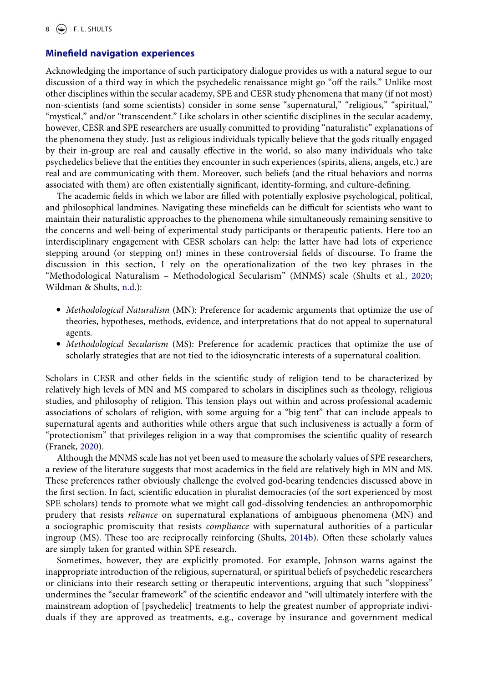# **Minefield navigation experiences**

Acknowledging the importance of such participatory dialogue provides us with a natural segue to our discussion of a third way in which the psychedelic renaissance might go "off the rails." Unlike most other disciplines within the secular academy, SPE and CESR study phenomena that many (if not most) non-scientists (and some scientists) consider in some sense "supernatural," "religious," "spiritual," "mystical," and/or "transcendent." Like scholars in other scientific disciplines in the secular academy, however, CESR and SPE researchers are usually committed to providing "naturalistic" explanations of the phenomena they study. Just as religious individuals typically believe that the gods ritually engaged by their in-group are real and causally effective in the world, so also many individuals who take psychedelics believe that the entities they encounter in such experiences (spirits, aliens, angels, etc.) are real and are communicating with them. Moreover, such beliefs (and the ritual behaviors and norms associated with them) are often existentially significant, identity-forming, and culture-defining.

The academic fields in which we labor are filled with potentially explosive psychological, political, and philosophical landmines. Navigating these minefields can be difficult for scientists who want to maintain their naturalistic approaches to the phenomena while simultaneously remaining sensitive to the concerns and well-being of experimental study participants or therapeutic patients. Here too an interdisciplinary engagement with CESR scholars can help: the latter have had lots of experience stepping around (or stepping on!) mines in these controversial fields of discourse. To frame the discussion in this section, I rely on the operationalization of the two key phrases in the "Methodological Naturalism – Methodological Secularism" (MNMS) scale (Shults et al., [2020;](#page-14-24) Wildman & Shults, [n.d.](#page-15-17)):

- <span id="page-8-2"></span><span id="page-8-1"></span>● *Methodological Naturalism* (MN): Preference for academic arguments that optimize the use of theories, hypotheses, methods, evidence, and interpretations that do not appeal to supernatural agents.
- *Methodological Secularism* (MS): Preference for academic practices that optimize the use of scholarly strategies that are not tied to the idiosyncratic interests of a supernatural coalition.

Scholars in CESR and other fields in the scientific study of religion tend to be characterized by relatively high levels of MN and MS compared to scholars in disciplines such as theology, religious studies, and philosophy of religion. This tension plays out within and across professional academic associations of scholars of religion, with some arguing for a "big tent" that can include appeals to supernatural agents and authorities while others argue that such inclusiveness is actually a form of "protectionism" that privileges religion in a way that compromises the scientific quality of research (Franek, [2020\)](#page-12-23).

<span id="page-8-0"></span>Although the MNMS scale has not yet been used to measure the scholarly values of SPE researchers, a review of the literature suggests that most academics in the field are relatively high in MN and MS. These preferences rather obviously challenge the evolved god-bearing tendencies discussed above in the first section. In fact, scientific education in pluralist democracies (of the sort experienced by most SPE scholars) tends to promote what we might call god-dissolving tendencies: an anthropomorphic prudery that resists *reliance* on supernatural explanations of ambiguous phenomena (MN) and a sociographic promiscuity that resists *compliance* with supernatural authorities of a particular ingroup (MS). These too are reciprocally reinforcing (Shults, [2014b](#page-14-2)). Often these scholarly values are simply taken for granted within SPE research.

Sometimes, however, they are explicitly promoted. For example, Johnson warns against the inappropriate introduction of the religious, supernatural, or spiritual beliefs of psychedelic researchers or clinicians into their research setting or therapeutic interventions, arguing that such "sloppiness" undermines the "secular framework" of the scientific endeavor and "will ultimately interfere with the mainstream adoption of [psychedelic] treatments to help the greatest number of appropriate individuals if they are approved as treatments, e.g., coverage by insurance and government medical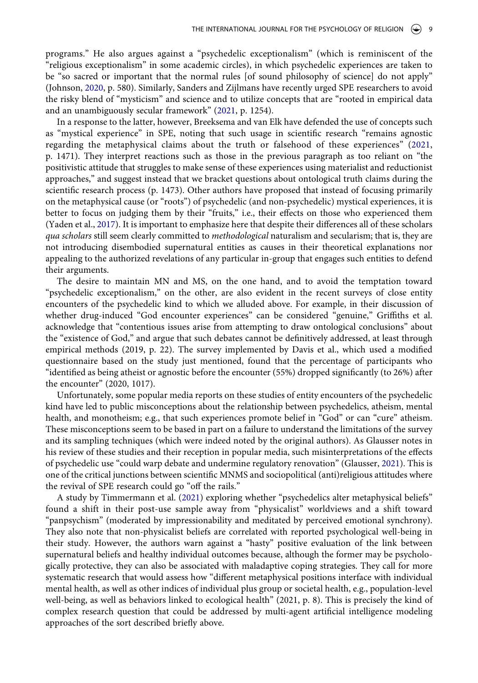<span id="page-9-2"></span>programs." He also argues against a "psychedelic exceptionalism" (which is reminiscent of the "religious exceptionalism" in some academic circles), in which psychedelic experiences are taken to be "so sacred or important that the normal rules [of sound philosophy of science] do not apply" (Johnson, [2020,](#page-12-24) p. 580). Similarly, Sanders and Zijlmans have recently urged SPE researchers to avoid the risky blend of "mysticism" and science and to utilize concepts that are "rooted in empirical data and an unambiguously secular framework" ([2021](#page-13-20), p. 1254).

<span id="page-9-3"></span><span id="page-9-0"></span>In a response to the latter, however, Breeksema and van Elk have defended the use of concepts such as "mystical experience" in SPE, noting that such usage in scientific research "remains agnostic regarding the metaphysical claims about the truth or falsehood of these experiences" ([2021,](#page-11-13) p. 1471). They interpret reactions such as those in the previous paragraph as too reliant on "the positivistic attitude that struggles to make sense of these experiences using materialist and reductionist approaches," and suggest instead that we bracket questions about ontological truth claims during the scientific research process (p. 1473). Other authors have proposed that instead of focusing primarily on the metaphysical cause (or "roots") of psychedelic (and non-psychedelic) mystical experiences, it is better to focus on judging them by their "fruits," i.e., their effects on those who experienced them (Yaden et al., [2017\)](#page-15-3). It is important to emphasize here that despite their differences all of these scholars *qua scholars* still seem clearly committed to *methodological* naturalism and secularism; that is, they are not introducing disembodied supernatural entities as causes in their theoretical explanations nor appealing to the authorized revelations of any particular in-group that engages such entities to defend their arguments.

The desire to maintain MN and MS, on the one hand, and to avoid the temptation toward "psychedelic exceptionalism," on the other, are also evident in the recent surveys of close entity encounters of the psychedelic kind to which we alluded above. For example, in their discussion of whether drug-induced "God encounter experiences" can be considered "genuine," Griffiths et al. acknowledge that "contentious issues arise from attempting to draw ontological conclusions" about the "existence of God," and argue that such debates cannot be definitively addressed, at least through empirical methods (2019, p. 22). The survey implemented by Davis et al., which used a modified questionnaire based on the study just mentioned, found that the percentage of participants who "identified as being atheist or agnostic before the encounter (55%) dropped significantly (to 26%) after the encounter" (2020, 1017).

Unfortunately, some popular media reports on these studies of entity encounters of the psychedelic kind have led to public misconceptions about the relationship between psychedelics, atheism, mental health, and monotheism; e.g., that such experiences promote belief in "God" or can "cure" atheism. These misconceptions seem to be based in part on a failure to understand the limitations of the survey and its sampling techniques (which were indeed noted by the original authors). As Glausser notes in his review of these studies and their reception in popular media, such misinterpretations of the effects of psychedelic use "could warp debate and undermine regulatory renovation" (Glausser, [2021\)](#page-12-25). This is one of the critical junctions between scientific MNMS and sociopolitical (anti)religious attitudes where the revival of SPE research could go "off the rails."

<span id="page-9-4"></span><span id="page-9-1"></span>A study by Timmermann et al. ([2021\)](#page-14-25) exploring whether "psychedelics alter metaphysical beliefs" found a shift in their post-use sample away from "physicalist" worldviews and a shift toward "panpsychism" (moderated by impressionability and meditated by perceived emotional synchrony). They also note that non-physicalist beliefs are correlated with reported psychological well-being in their study. However, the authors warn against a "hasty" positive evaluation of the link between supernatural beliefs and healthy individual outcomes because, although the former may be psychologically protective, they can also be associated with maladaptive coping strategies. They call for more systematic research that would assess how "different metaphysical positions interface with individual mental health, as well as other indices of individual plus group or societal health, e.g., population-level well-being, as well as behaviors linked to ecological health" (2021, p. 8). This is precisely the kind of complex research question that could be addressed by multi-agent artificial intelligence modeling approaches of the sort described briefly above.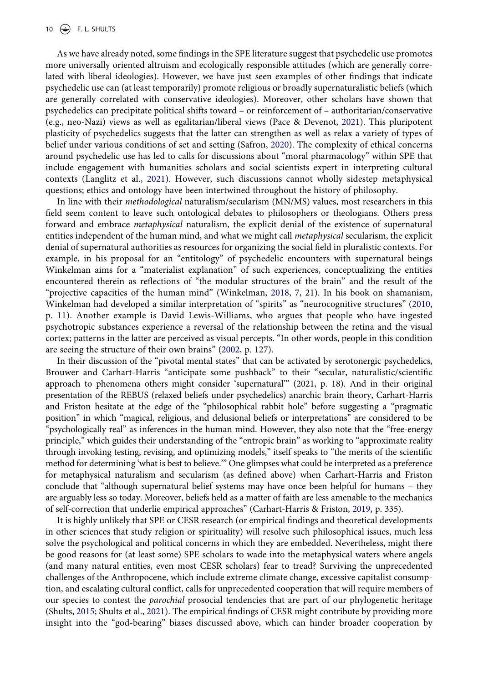<span id="page-10-2"></span>As we have already noted, some findings in the SPE literature suggest that psychedelic use promotes more universally oriented altruism and ecologically responsible attitudes (which are generally correlated with liberal ideologies). However, we have just seen examples of other findings that indicate psychedelic use can (at least temporarily) promote religious or broadly supernaturalistic beliefs (which are generally correlated with conservative ideologies). Moreover, other scholars have shown that psychedelics can precipitate political shifts toward – or reinforcement of – authoritarian/conservative (e.g., neo-Nazi) views as well as egalitarian/liberal views (Pace & Devenot, [2021\)](#page-13-21). This pluripotent plasticity of psychedelics suggests that the latter can strengthen as well as relax a variety of types of belief under various conditions of set and setting (Safron, [2020\)](#page-13-22). The complexity of ethical concerns around psychedelic use has led to calls for discussions about "moral pharmacology" within SPE that include engagement with humanities scholars and social scientists expert in interpreting cultural contexts (Langlitz et al., [2021](#page-13-23)). However, such discussions cannot wholly sidestep metaphysical questions; ethics and ontology have been intertwined throughout the history of philosophy.

<span id="page-10-3"></span><span id="page-10-0"></span>In line with their *methodological* naturalism/secularism (MN/MS) values, most researchers in this field seem content to leave such ontological debates to philosophers or theologians. Others press forward and embrace *metaphysical* naturalism, the explicit denial of the existence of supernatural entities independent of the human mind, and what we might call *metaphysical* secularism, the explicit denial of supernatural authorities as resources for organizing the social field in pluralistic contexts. For example, in his proposal for an "entitology" of psychedelic encounters with supernatural beings Winkelman aims for a "materialist explanation" of such experiences, conceptualizing the entities encountered therein as reflections of "the modular structures of the brain" and the result of the "projective capacities of the human mind" (Winkelman, [2018,](#page-15-5) 7, 21). In his book on shamanism, Winkelman had developed a similar interpretation of "spirits" as "neurocognitive structures" [\(2010,](#page-15-18) p. 11). Another example is David Lewis-Williams, who argues that people who have ingested psychotropic substances experience a reversal of the relationship between the retina and the visual cortex; patterns in the latter are perceived as visual percepts. "In other words, people in this condition are seeing the structure of their own brains" ([2002,](#page-13-24) p. 127).

<span id="page-10-5"></span><span id="page-10-1"></span>In their discussion of the "pivotal mental states" that can be activated by serotonergic psychedelics, Brouwer and Carhart-Harris "anticipate some pushback" to their "secular, naturalistic/scientific approach to phenomena others might consider 'supernatural'" (2021, p. 18). And in their original presentation of the REBUS (relaxed beliefs under psychedelics) anarchic brain theory, Carhart-Harris and Friston hesitate at the edge of the "philosophical rabbit hole" before suggesting a "pragmatic position" in which "magical, religious, and delusional beliefs or interpretations" are considered to be "psychologically real" as inferences in the human mind. However, they also note that the "free-energy principle," which guides their understanding of the "entropic brain" as working to "approximate reality through invoking testing, revising, and optimizing models," itself speaks to "the merits of the scientific method for determining 'what is best to believe.'" One glimpses what could be interpreted as a preference for metaphysical naturalism and secularism (as defined above) when Carhart-Harris and Friston conclude that "although supernatural belief systems may have once been helpful for humans – they are arguably less so today. Moreover, beliefs held as a matter of faith are less amenable to the mechanics of self-correction that underlie empirical approaches" (Carhart-Harris & Friston, [2019,](#page-12-1) p. 335).

<span id="page-10-4"></span>It is highly unlikely that SPE or CESR research (or empirical findings and theoretical developments in other sciences that study religion or spirituality) will resolve such philosophical issues, much less solve the psychological and political concerns in which they are embedded. Nevertheless, might there be good reasons for (at least some) SPE scholars to wade into the metaphysical waters where angels (and many natural entities, even most CESR scholars) fear to tread? Surviving the unprecedented challenges of the Anthropocene, which include extreme climate change, excessive capitalist consumption, and escalating cultural conflict, calls for unprecedented cooperation that will require members of our species to contest the *parochial* prosocial tendencies that are part of our phylogenetic heritage (Shults, [2015;](#page-14-3) Shults et al., [2021\)](#page-14-26). The empirical findings of CESR might contribute by providing more insight into the "god-bearing" biases discussed above, which can hinder broader cooperation by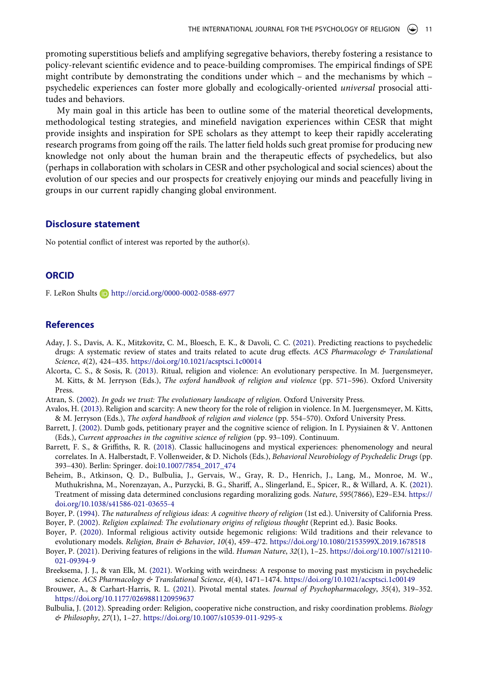promoting superstitious beliefs and amplifying segregative behaviors, thereby fostering a resistance to policy-relevant scientific evidence and to peace-building compromises. The empirical findings of SPE might contribute by demonstrating the conditions under which – and the mechanisms by which – psychedelic experiences can foster more globally and ecologically-oriented *universal* prosocial attitudes and behaviors.

My main goal in this article has been to outline some of the material theoretical developments, methodological testing strategies, and minefield navigation experiences within CESR that might provide insights and inspiration for SPE scholars as they attempt to keep their rapidly accelerating research programs from going off the rails. The latter field holds such great promise for producing new knowledge not only about the human brain and the therapeutic effects of psychedelics, but also (perhaps in collaboration with scholars in CESR and other psychological and social sciences) about the evolution of our species and our prospects for creatively enjoying our minds and peacefully living in groups in our current rapidly changing global environment.

### **Disclosure statement**

No potential conflict of interest was reported by the author(s).

#### **ORCID**

F. LeRon Shults **b** http://orcid.org/0000-0002-0588-6977

#### **References**

- <span id="page-11-8"></span>Aday, J. S., Davis, A. K., Mitzkovitz, C. M., Bloesch, E. K., & Davoli, C. C. ([2021](#page-5-0)). Predicting reactions to psychedelic drugs: A systematic review of states and traits related to acute drug effects. *ACS Pharmacology & Translational Science*, *4*(2), 424–435. <https://doi.org/10.1021/acsptsci.1c00014>
- <span id="page-11-5"></span>Alcorta, C. S., & Sosis, R. [\(2013\)](#page-3-0). Ritual, religion and violence: An evolutionary perspective. In M. Juergensmeyer, M. Kitts, & M. Jerryson (Eds.), *The oxford handbook of religion and violence* (pp. 571–596). Oxford University Press.
- <span id="page-11-10"></span>Atran, S. ([2002\)](#page-6-0). *In gods we trust: The evolutionary landscape of religion*. Oxford University Press.
- <span id="page-11-6"></span>Avalos, H. [\(2013](#page-3-0)). Religion and scarcity: A new theory for the role of religion in violence. In M. Juergensmeyer, M. Kitts, & M. Jerryson (Eds.), *The oxford handbook of religion and violence* (pp. 554–570). Oxford University Press.
- <span id="page-11-3"></span>Barrett, J. [\(2002\)](#page-3-1). Dumb gods, petitionary prayer and the cognitive science of religion. In I. Pyysiainen & V. Anttonen (Eds.), *Current approaches in the cognitive science of religion* (pp. 93–109). Continuum.
- <span id="page-11-1"></span>Barrett, F. S., & Griffiths, R. R. ([2018](#page-2-0)). Classic hallucinogens and mystical experiences: phenomenology and neural correlates. In A. Halberstadt, F. Vollenweider, & D. Nichols (Eds.), *Behavioral Neurobiology of Psychedelic Drugs* (pp. 393–430). Berlin: Springer. doi:[10.1007/7854\\_2017\\_474](https://doi.org/10.1007/7854_2017_474)
- <span id="page-11-12"></span>Beheim, B., Atkinson, Q. D., Bulbulia, J., Gervais, W., Gray, R. D., Henrich, J., Lang, M., Monroe, M. W., Muthukrishna, M., Norenzayan, A., Purzycki, B. G., Shariff, A., Slingerland, E., Spicer, R., & Willard, A. K. ([2021](#page-6-1)). Treatment of missing data determined conclusions regarding moralizing gods. *Nature*, *595*(7866), E29–E34. [https://](https://doi.org/10.1038/s41586-021-03655-4) [doi.org/10.1038/s41586-021-03655-4](https://doi.org/10.1038/s41586-021-03655-4)
- <span id="page-11-2"></span>Boyer, P. ([1994](#page-2-1)). *The naturalness of religious ideas: A cognitive theory of religion* (1st ed.). University of California Press.
- <span id="page-11-11"></span>Boyer, P. [\(2002\)](#page-6-0). *Religion explained: The evolutionary origins of religious thought* (Reprint ed.). Basic Books.
- <span id="page-11-9"></span>Boyer, P. ([2020](#page-6-2)). Informal religious activity outside hegemonic religions: Wild traditions and their relevance to evolutionary models. *Religion, Brain & Behavior*, *10*(4), 459–472. <https://doi.org/10.1080/2153599X.2019.1678518>
- <span id="page-11-4"></span>Boyer, P. ([2021](#page-3-2)). Deriving features of religions in the wild. *Human Nature*, *32*(1), 1–25. [https://doi.org/10.1007/s12110-](https://doi.org/10.1007/s12110-021-09394-9)  [021-09394-9](https://doi.org/10.1007/s12110-021-09394-9)
- <span id="page-11-13"></span>Breeksema, J. J., & van Elk, M. [\(2021\)](#page-9-0). Working with weirdness: A response to moving past mysticism in psychedelic science. *ACS Pharmacology & Translational Science*, *4*(4), 1471–1474. <https://doi.org/10.1021/acsptsci.1c00149>
- <span id="page-11-0"></span>Brouwer, A., & Carhart-Harris, R. L. [\(2021\)](#page-1-0). Pivotal mental states. *Journal of Psychopharmacology*, *35*(4), 319–352. <https://doi.org/10.1177/0269881120959637>
- <span id="page-11-7"></span>Bulbulia, J. [\(2012\)](#page-3-0). Spreading order: Religion, cooperative niche construction, and risky coordination problems. *Biology & Philosophy*, *27*(1), 1–27. <https://doi.org/10.1007/s10539-011-9295-x>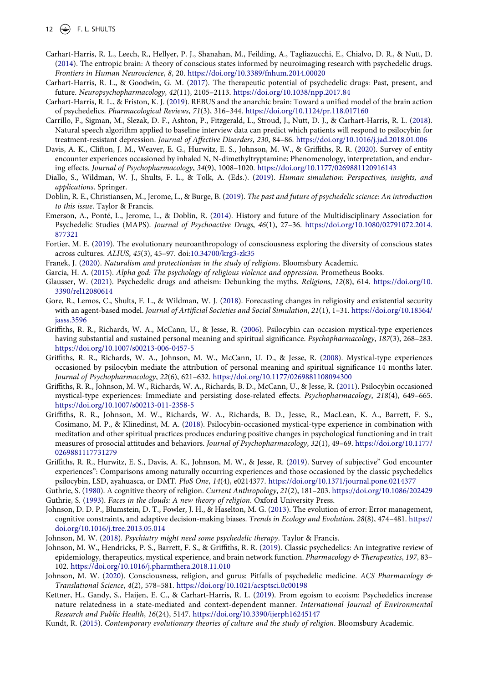## 12  $\left(\bigcirc\right)$  F. L. SHULTS

- <span id="page-12-0"></span>Carhart-Harris, R. L., Leech, R., Hellyer, P. J., Shanahan, M., Feilding, A., Tagliazucchi, E., Chialvo, D. R., & Nutt, D. ([2014](#page-1-1)). The entropic brain: A theory of conscious states informed by neuroimaging research with psychedelic drugs. *Frontiers in Human Neuroscience*, *8*, 20. <https://doi.org/10.3389/fnhum.2014.00020>
- <span id="page-12-3"></span>Carhart-Harris, R. L., & Goodwin, G. M. ([2017](#page-1-2)). The therapeutic potential of psychedelic drugs: Past, present, and future. *Neuropsychopharmacology*, *42*(11), 2105–2113. <https://doi.org/10.1038/npp.2017.84>
- <span id="page-12-1"></span>Carhart-Harris, R. L., & Friston, K. J. [\(2019\)](#page-1-1). REBUS and the anarchic brain: Toward a unified model of the brain action of psychedelics. *Pharmacological Reviews*, *71*(3), 316–344. <https://doi.org/10.1124/pr.118.017160>
- <span id="page-12-20"></span>Carrillo, F., Sigman, M., Slezak, D. F., Ashton, P., Fitzgerald, L., Stroud, J., Nutt, D. J., & Carhart-Harris, R. L. ([2018](#page-7-0)). Natural speech algorithm applied to baseline interview data can predict which patients will respond to psilocybin for treatment-resistant depression. *Journal of Affective Disorders*, *230*, 84–86. <https://doi.org/10.1016/j.jad.2018.01.006>
- <span id="page-12-7"></span>Davis, A. K., Clifton, J. M., Weaver, E. G., Hurwitz, E. S., Johnson, M. W., & Griffiths, R. R. ([2020](#page-2-2)). Survey of entity encounter experiences occasioned by inhaled N, N-dimethyltryptamine: Phenomenology, interpretation, and enduring effects. *Journal of Psychopharmacology*, *34*(9), 1008–1020. <https://doi.org/10.1177/0269881120916143>
- <span id="page-12-21"></span>Diallo, S., Wildman, W. J., Shults, F. L., & Tolk, A. (Eds.). [\(2019\)](#page-7-1). *Human simulation: Perspectives, insights, and applications*. Springer.
- <span id="page-12-4"></span>Doblin, R. E., Christiansen, M., Jerome, L., & Burge, B. ([2019\)](#page-1-2). *The past and future of psychedelic science: An introduction to this issue*. Taylor & Francis.
- <span id="page-12-5"></span>Emerson, A., Ponté, L., Jerome, L., & Doblin, R. ([2014\)](#page-1-3). History and future of the Multidisciplinary Association for Psychedelic Studies (MAPS). *Journal of Psychoactive Drugs*, *46*(1), 27–36. [https://doi.org/10.1080/02791072.2014.](https://doi.org/10.1080/02791072.2014.877321)  [877321](https://doi.org/10.1080/02791072.2014.877321)
- <span id="page-12-18"></span>Fortier, M. E. ([2019](#page-6-3)). The evolutionary neuroanthropology of consciousness exploring the diversity of conscious states across cultures. *ALIUS*, *45*(3), 45–97. doi:[10.34700/krg3-zk35](https://doi.org/10.34700/krg3-zk35)
- <span id="page-12-23"></span>Franek, J. [\(2020\)](#page-8-0). *Naturalism and protectionism in the study of religions*. Bloomsbury Academic.
- <span id="page-12-13"></span>Garcia, H. A. ([2015](#page-3-0)). *Alpha god: The psychology of religious violence and oppression*. Prometheus Books.
- <span id="page-12-25"></span>Glausser, W. ([2021](#page-9-1)). Psychedelic drugs and atheism: Debunking the myths. *Religions*, *12*(8), 614. [https://doi.org/10.](https://doi.org/10.3390/rel12080614) [3390/rel12080614](https://doi.org/10.3390/rel12080614)
- <span id="page-12-22"></span>Gore, R., Lemos, C., Shults, F. L., & Wildman, W. J. ([2018](#page-7-1)). Forecasting changes in religiosity and existential security with an agent-based model. *Journal of Artificial Societies and Social Simulation*, *21*(1), 1–31. [https://doi.org/10.18564/](https://doi.org/10.18564/jasss.3596)  [jasss.3596](https://doi.org/10.18564/jasss.3596)
- <span id="page-12-17"></span>Griffiths, R. R., Richards, W. A., McCann, U., & Jesse, R. ([2006](#page-5-0)). Psilocybin can occasion mystical-type experiences having substantial and sustained personal meaning and spiritual significance. *Psychopharmacology*, *187*(3), 268–283. <https://doi.org/10.1007/s00213-006-0457-5>
- <span id="page-12-16"></span>Griffiths, R. R., Richards, W. A., Johnson, M. W., McCann, U. D., & Jesse, R. [\(2008\)](#page-5-0). Mystical-type experiences occasioned by psilocybin mediate the attribution of personal meaning and spiritual significance 14 months later. *Journal of Psychopharmacology*, *22*(6), 621–632. <https://doi.org/10.1177/0269881108094300>
- <span id="page-12-9"></span>Griffiths, R. R., Johnson, M. W., Richards, W. A., Richards, B. D., McCann, U., & Jesse, R. ([2011](#page-2-3)). Psilocybin occasioned mystical-type experiences: Immediate and persisting dose-related effects. *Psychopharmacology*, *218*(4), 649–665. <https://doi.org/10.1007/s00213-011-2358-5>
- <span id="page-12-14"></span>Griffiths, R. R., Johnson, M. W., Richards, W. A., Richards, B. D., Jesse, R., MacLean, K. A., Barrett, F. S., Cosimano, M. P., & Klinedinst, M. A. ([2018](#page-4-0)). Psilocybin-occasioned mystical-type experience in combination with meditation and other spiritual practices produces enduring positive changes in psychological functioning and in trait measures of prosocial attitudes and behaviors. *Journal of Psychopharmacology*, *32*(1), 49–69. [https://doi.org/10.1177/](https://doi.org/10.1177/0269881117731279)  [0269881117731279](https://doi.org/10.1177/0269881117731279)
- <span id="page-12-8"></span>Griffiths, R. R., Hurwitz, E. S., Davis, A. K., Johnson, M. W., & Jesse, R. ([2019](#page-2-4)). Survey of subjective" God encounter experiences": Comparisons among naturally occurring experiences and those occasioned by the classic psychedelics psilocybin, LSD, ayahuasca, or DMT. *PloS One*, *14*(4), e0214377. <https://doi.org/10.1371/journal.pone.0214377>
- <span id="page-12-11"></span>Guthrie, S. ([1980\)](#page-2-5). A cognitive theory of religion. *Current Anthropology*, *21*(2), 181–203.<https://doi.org/10.1086/202429>
- <span id="page-12-10"></span>Guthrie, S. [\(1993\)](#page-2-1). *Faces in the clouds: A new theory of religion*. Oxford University Press.
- <span id="page-12-12"></span>Johnson, D. D. P., Blumstein, D. T., Fowler, J. H., & Haselton, M. G. ([2013\)](#page-3-2). The evolution of error: Error management, cognitive constraints, and adaptive decision-making biases. *Trends in Ecology and Evolution*, *28*(8), 474–481. [https://](https://doi.org/10.1016/j.tree.2013.05.014) [doi.org/10.1016/j.tree.2013.05.014](https://doi.org/10.1016/j.tree.2013.05.014)
- <span id="page-12-6"></span>Johnson, M. W. [\(2018](#page-1-3)). *Psychiatry might need some psychedelic therapy*. Taylor & Francis.
- <span id="page-12-2"></span>Johnson, M. W., Hendricks, P. S., Barrett, F. S., & Griffiths, R. R. ([2019\)](#page-1-0). Classic psychedelics: An integrative review of epidemiology, therapeutics, mystical experience, and brain network function. *Pharmacology & Therapeutics*, *197*, 83– 102. <https://doi.org/10.1016/j.pharmthera.2018.11.010>
- <span id="page-12-24"></span>Johnson, M. W. [\(2020](#page-9-2)). Consciousness, religion, and gurus: Pitfalls of psychedelic medicine. *ACS Pharmacology & Translational Science*, *4*(2), 578–581. <https://doi.org/10.1021/acsptsci.0c00198>
- <span id="page-12-15"></span>Kettner, H., Gandy, S., Haijen, E. C., & Carhart-Harris, R. L. ([2019](#page-4-1)). From egoism to ecoism: Psychedelics increase nature relatedness in a state-mediated and context-dependent manner. *International Journal of Environmental Research and Public Health*, *16*(24), 5147. <https://doi.org/10.3390/ijerph16245147>
- <span id="page-12-19"></span>Kundt, R. ([2015](#page-6-4)). *Contemporary evolutionary theories of culture and the study of religion*. Bloomsbury Academic.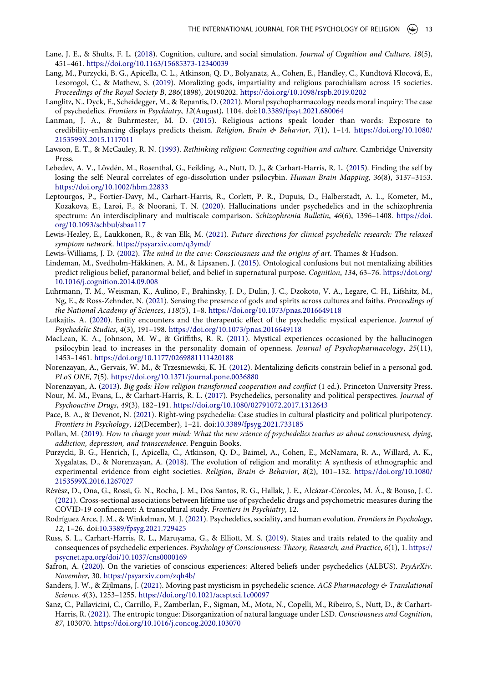- <span id="page-13-17"></span>Lane, J. E., & Shults, F. L. ([2018](#page-7-2)). Cognition, culture, and social simulation. *Journal of Cognition and Culture*, *18*(5), 451–461. <https://doi.org/10.1163/15685373-12340039>
- <span id="page-13-15"></span>Lang, M., Purzycki, B. G., Apicella, C. L., Atkinson, Q. D., Bolyanatz, A., Cohen, E., Handley, C., Kundtová Klocová, E., Lesorogol, C., & Mathew, S. ([2019](#page-6-5)). Moralizing gods, impartiality and religious parochialism across 15 societies. *Proceedings of the Royal Society B*, *286*(1898), 20190202. <https://doi.org/10.1098/rspb.2019.0202>
- <span id="page-13-23"></span>Langlitz, N., Dyck, E., Scheidegger, M., & Repantis, D. ([2021](#page-10-0)). Moral psychopharmacology needs moral inquiry: The case of psychedelics. *Frontiers in Psychiatry*, *12*(August), 1104. doi:[10.3389/fpsyt.2021.680064](https://doi.org/10.3389/fpsyt.2021.680064)
- <span id="page-13-8"></span>Lanman, J. A., & Buhrmester, M. D. [\(2015](#page-3-0)). Religious actions speak louder than words: Exposure to credibility-enhancing displays predicts theism. *Religion, Brain & Behavior*, *7*(1), 1–14. [https://doi.org/10.1080/](https://doi.org/10.1080/2153599X.2015.1117011) [2153599X.2015.1117011](https://doi.org/10.1080/2153599X.2015.1117011)
- <span id="page-13-5"></span>Lawson, E. T., & McCauley, R. N. ([1993](#page-2-1)). *Rethinking religion: Connecting cognition and culture*. Cambridge University Press.
- <span id="page-13-0"></span>Lebedev, A. V., Lövdén, M., Rosenthal, G., Feilding, A., Nutt, D. J., & Carhart-Harris, R. L. ([2015](#page-1-0)). Finding the self by losing the self: Neural correlates of ego-dissolution under psilocybin. *Human Brain Mapping*, *36*(8), 3137–3153. <https://doi.org/10.1002/hbm.22833>
- <span id="page-13-18"></span>Leptourgos, P., Fortier-Davy, M., Carhart-Harris, R., Corlett, P. R., Dupuis, D., Halberstadt, A. L., Kometer, M., Kozakova, E., Larøi, F., & Noorani, T. N. [\(2020](#page-7-3)). Hallucinations under psychedelics and in the schizophrenia spectrum: An interdisciplinary and multiscale comparison. *Schizophrenia Bulletin*, *46*(6), 1396–1408. [https://doi.](https://doi.org/10.1093/schbul/sbaa117) [org/10.1093/schbul/sbaa117](https://doi.org/10.1093/schbul/sbaa117)
- <span id="page-13-1"></span>Lewis-Healey, E., Laukkonen, R., & van Elk, M. ([2021](#page-1-3)). *Future directions for clinical psychedelic research: The relaxed symptom network*. <https://psyarxiv.com/q3ymd/>
- <span id="page-13-24"></span>Lewis-Williams, J. D. [\(2002\)](#page-10-1). *The mind in the cave: Consciousness and the origins of art*. Thames & Hudson.
- <span id="page-13-6"></span>Lindeman, M., Svedholm-Häkkinen, A. M., & Lipsanen, J. ([2015](#page-3-2)). Ontological confusions but not mentalizing abilities predict religious belief, paranormal belief, and belief in supernatural purpose. *Cognition*, *134*, 63–76. [https://doi.org/](https://doi.org/10.1016/j.cognition.2014.09.008) [10.1016/j.cognition.2014.09.008](https://doi.org/10.1016/j.cognition.2014.09.008)
- <span id="page-13-4"></span>Luhrmann, T. M., Weisman, K., Aulino, F., Brahinsky, J. D., Dulin, J. C., Dzokoto, V. A., Legare, C. H., Lifshitz, M., Ng, E., & Ross-Zehnder, N. ([2021\)](#page-2-6). Sensing the presence of gods and spirits across cultures and faiths. *Proceedings of the National Academy of Sciences*, *118*(5), 1–8. <https://doi.org/10.1073/pnas.2016649118>
- <span id="page-13-3"></span>Lutkajtis, A. [\(2020](#page-2-7)). Entity encounters and the therapeutic effect of the psychedelic mystical experience. *Journal of Psychedelic Studies*, *4*(3), 191–198. <https://doi.org/10.1073/pnas.2016649118>
- <span id="page-13-10"></span>MacLean, K. A., Johnson, M. W., & Griffiths, R. R. [\(2011\)](#page-5-1). Mystical experiences occasioned by the hallucinogen psilocybin lead to increases in the personality domain of openness. *Journal of Psychopharmacology*, *25*(11), 1453–1461. <https://doi.org/10.1177/0269881111420188>
- <span id="page-13-7"></span>Norenzayan, A., Gervais, W. M., & Trzesniewski, K. H. ([2012\)](#page-3-2). Mentalizing deficits constrain belief in a personal god. *PLoS ONE*, 7(5). <https://doi.org/10.1371/journal.pone.0036880>
- <span id="page-13-14"></span>Norenzayan, A. ([2013](#page-6-4)). *Big gods: How religion transformed cooperation and conflict* (1 ed.). Princeton University Press.
- <span id="page-13-9"></span>Nour, M. M., Evans, L., & Carhart-Harris, R. L. ([2017](#page-4-2)). Psychedelics, personality and political perspectives. *Journal of Psychoactive Drugs*, *49*(3), 182–191. <https://doi.org/10.1080/02791072.2017.1312643>
- <span id="page-13-21"></span>Pace, B. A., & Devenot, N. [\(2021\)](#page-10-2). Right-wing psychedelia: Case studies in cultural plasticity and political pluripotency. *Frontiers in Psychology*, *12*(December), 1–21. doi:[10.3389/fpsyg.2021.733185](https://doi.org/10.3389/fpsyg.2021.733185)
- <span id="page-13-2"></span>Pollan, M. [\(2019\)](#page-1-4). *How to change your mind: What the new science of psychedelics teaches us about consciousness, dying, addiction, depression, and transcendence*. Penguin Books.
- <span id="page-13-16"></span>Purzycki, B. G., Henrich, J., Apicella, C., Atkinson, Q. D., Baimel, A., Cohen, E., McNamara, R. A., Willard, A. K., Xygalatas, D., & Norenzayan, A. ([2018\)](#page-6-5). The evolution of religion and morality: A synthesis of ethnographic and experimental evidence from eight societies. *Religion, Brain & Behavior*, *8*(2), 101–132. [https://doi.org/10.1080/](https://doi.org/10.1080/2153599X.2016.1267027)  [2153599X.2016.1267027](https://doi.org/10.1080/2153599X.2016.1267027)
- <span id="page-13-12"></span>Révész, D., Ona, G., Rossi, G. N., Rocha, J. M., Dos Santos, R. G., Hallak, J. E., Alcázar-Córcoles, M. Á., & Bouso, J. C. ([2021](#page-5-2)). Cross-sectional associations between lifetime use of psychedelic drugs and psychometric measures during the COVID-19 confinement: A transcultural study. *Frontiers in Psychiatry*, 12.
- <span id="page-13-13"></span>Rodríguez Arce, J. M., & Winkelman, M. J. [\(2021](#page-6-6)). Psychedelics, sociality, and human evolution. *Frontiers in Psychology*, *12*, 1–26. doi:[10.3389/fpsyg.2021.729425](https://doi.org/10.3389/fpsyg.2021.729425)
- <span id="page-13-11"></span>Russ, S. L., Carhart-Harris, R. L., Maruyama, G., & Elliott, M. S. ([2019](#page-5-1)). States and traits related to the quality and consequences of psychedelic experiences. *Psychology of Consciousness: Theory, Research, and Practice*, *6*(1), 1. [https://](https://psycnet.apa.org/doi/10.1037/cns0000169) [psycnet.apa.org/doi/10.1037/cns0000169](https://psycnet.apa.org/doi/10.1037/cns0000169)
- <span id="page-13-22"></span>Safron, A. [\(2020\)](#page-10-3). On the varieties of conscious experiences: Altered beliefs under psychedelics (ALBUS). *PsyArXiv. November*, 30. <https://psyarxiv.com/zqh4b/>
- <span id="page-13-20"></span>Sanders, J. W., & Zijlmans, J. [\(2021\)](#page-9-3). Moving past mysticism in psychedelic science. *ACS Pharmacology & Translational Science*, *4*(3), 1253–1255. <https://doi.org/10.1021/acsptsci.1c00097>
- <span id="page-13-19"></span>Sanz, C., Pallavicini, C., Carrillo, F., Zamberlan, F., Sigman, M., Mota, N., Copelli, M., Ribeiro, S., Nutt, D., & Carhart-Harris, R. ([2021](#page-7-0)). The entropic tongue: Disorganization of natural language under LSD. *Consciousness and Cognition*, *87*, 103070. <https://doi.org/10.1016/j.concog.2020.103070>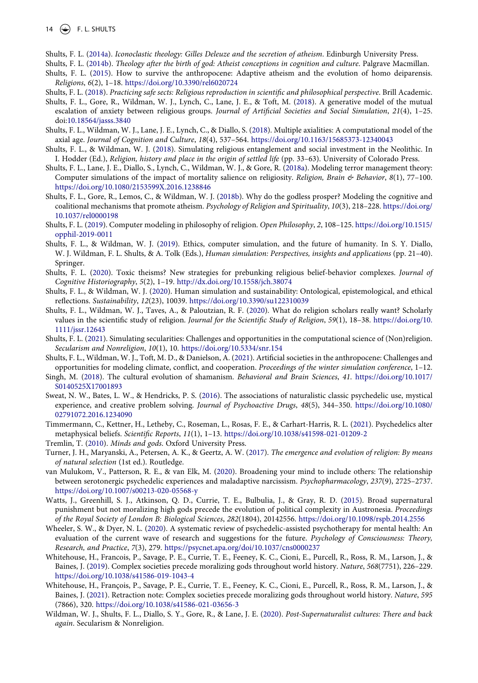- <span id="page-14-9"></span>Shults, F. L. ([2014a\)](#page-3-3). *Iconoclastic theology: Gilles Deleuze and the secretion of atheism*. Edinburgh University Press.
- <span id="page-14-2"></span>Shults, F. L. ([2014b\)](#page-2-8). *Theology after the birth of god: Atheist conceptions in cognition and culture*. Palgrave Macmillan.
- <span id="page-14-3"></span>Shults, F. L. ([2015](#page-2-8)). How to survive the anthropocene: Adaptive atheism and the evolution of homo deiparensis. *Religions*, *6*(2), 1–18. <https://doi.org/10.3390/rel6020724>
- <span id="page-14-4"></span>Shults, F. L. ([2018\)](#page-2-8). *Practicing safe sects: Religious reproduction in scientific and philosophical perspective*. Brill Academic.
- <span id="page-14-18"></span>Shults, F. L., Gore, R., Wildman, W. J., Lynch, C., Lane, J. E., & Toft, M. [\(2018\)](#page-7-1). A generative model of the mutual escalation of anxiety between religious groups. *Journal of Artificial Societies and Social Simulation*, *21*(4), 1–25. doi:[10.18564/jasss.3840](https://doi.org/10.18564/jasss.3840)
- <span id="page-14-21"></span>Shults, F. L., Wildman, W. J., Lane, J. E., Lynch, C., & Diallo, S. ([2018](#page-7-4)). Multiple axialities: A computational model of the axial age. *Journal of Cognition and Culture*, *18*(4), 537–564. <https://doi.org/10.1163/15685373-12340043>
- <span id="page-14-20"></span>Shults, F. L., & Wildman, W. J. [\(2018](#page-7-4)). Simulating religious entanglement and social investment in the Neolithic. In I. Hodder (Ed.), *Religion, history and place in the origin of settled life* (pp. 33–63). University of Colorado Press.
- <span id="page-14-5"></span>Shults, F. L., Lane, J. E., Diallo, S., Lynch, C., Wildman, W. J., & Gore, R. [\(2018a](#page-2-8)). Modeling terror management theory: Computer simulations of the impact of mortality salience on religiosity. *Religion, Brain & Behavior*, *8*(1), 77–100. <https://doi.org/10.1080/2153599X.2016.1238846>
- <span id="page-14-6"></span>Shults, F. L., Gore, R., Lemos, C., & Wildman, W. J. [\(2018b](#page-2-8)). Why do the godless prosper? Modeling the cognitive and coalitional mechanisms that promote atheism. *Psychology of Religion and Spirituality*, *10*(3), 218–228. [https://doi.org/](https://doi.org/10.1037/rel0000198) [10.1037/rel0000198](https://doi.org/10.1037/rel0000198)
- <span id="page-14-7"></span>Shults, F. L. [\(2019\)](#page-2-8). Computer modeling in philosophy of religion. *Open Philosophy*, *2*, 108–125. [https://doi.org/10.1515/](https://doi.org/10.1515/opphil-2019-0011)  [opphil-2019-0011](https://doi.org/10.1515/opphil-2019-0011)
- <span id="page-14-23"></span>Shults, F. L., & Wildman, W. J. [\(2019\)](#page-7-5). Ethics, computer simulation, and the future of humanity. In S. Y. Diallo, W. J. Wildman, F. L. Shults, & A. Tolk (Eds.), *Human simulation: Perspectives, insights and applications* (pp. 21–40). Springer.
- <span id="page-14-8"></span>Shults, F. L. ([2020](#page-2-8)). Toxic theisms? New strategies for prebunking religious belief-behavior complexes. *Journal of Cognitive Historiography*, *5*(2), 1–19. <http://dx.doi.org/10.1558/jch.38074>
- <span id="page-14-19"></span>Shults, F. L., & Wildman, W. J. [\(2020\)](#page-7-6). Human simulation and sustainability: Ontological, epistemological, and ethical reflections. *Sustainability*, *12*(23), 10039. <https://doi.org/10.3390/su122310039>
- <span id="page-14-24"></span>Shults, F. L., Wildman, W. J., Taves, A., & Paloutzian, R. F. ([2020](#page-8-1)). What do religion scholars really want? Scholarly values in the scientific study of religion. *Journal for the Scientific Study of Religion*, *59*(1), 18–38. [https://doi.org/10.](https://doi.org/10.1111/jssr.12643) [1111/jssr.12643](https://doi.org/10.1111/jssr.12643)
- <span id="page-14-17"></span>Shults, F. L. [\(2021\)](#page-7-7). Simulating secularities: Challenges and opportunities in the computational science of (Non)religion. *Secularism and Nonreligion*, *10*(1), 10. <https://doi.org/10.5334/snr.154>
- <span id="page-14-26"></span>Shults, F. L., Wildman, W. J., Toft, M. D., & Danielson, A. [\(2021\)](#page-10-4). Artificial societies in the anthropocene: Challenges and opportunities for modeling climate, conflict, and cooperation. *Proceedings of the winter simulation conference*, 1–12.
- <span id="page-14-12"></span>Singh, M. ([2018\)](#page-6-4). The cultural evolution of shamanism. *Behavioral and Brain Sciences*, *41*. [https://doi.org/10.1017/](https://doi.org/10.1017/S0140525X17001893)  [S0140525X17001893](https://doi.org/10.1017/S0140525X17001893)
- <span id="page-14-11"></span>Sweat, N. W., Bates, L. W., & Hendricks, P. S. ([2016](#page-5-0)). The associations of naturalistic classic psychedelic use, mystical experience, and creative problem solving. *Journal of Psychoactive Drugs*, *48*(5), 344–350. [https://doi.org/10.1080/](https://doi.org/10.1080/02791072.2016.1234090)  [02791072.2016.1234090](https://doi.org/10.1080/02791072.2016.1234090)
- <span id="page-14-25"></span>Timmermann, C., Kettner, H., Letheby, C., Roseman, L., Rosas, F. E., & Carhart-Harris, R. L. [\(2021\)](#page-9-4). Psychedelics alter metaphysical beliefs. *Scientific Reports*, *11*(1), 1–13. <https://doi.org/10.1038/s41598-021-01209-2>
- <span id="page-14-1"></span>Tremlin, T. ([2010](#page-2-6)). *Minds and gods*. Oxford University Press.
- <span id="page-14-13"></span>Turner, J. H., Maryanski, A., Petersen, A. K., & Geertz, A. W. [\(2017\)](#page-6-4). *The emergence and evolution of religion: By means of natural selection* (1st ed.). Routledge.
- <span id="page-14-10"></span>van Mulukom, V., Patterson, R. E., & van Elk, M. ([2020\)](#page-4-1). Broadening your mind to include others: The relationship between serotonergic psychedelic experiences and maladaptive narcissism. *Psychopharmacology*, *237*(9), 2725–2737. <https://doi.org/10.1007/s00213-020-05568-y>
- <span id="page-14-14"></span>Watts, J., Greenhill, S. J., Atkinson, Q. D., Currie, T. E., Bulbulia, J., & Gray, R. D. [\(2015\)](#page-6-7). Broad supernatural punishment but not moralizing high gods precede the evolution of political complexity in Austronesia. *Proceedings of the Royal Society of London B: Biological Sciences*, *282*(1804), 20142556. <https://doi.org/10.1098/rspb.2014.2556>
- <span id="page-14-0"></span>Wheeler, S. W., & Dyer, N. L. ([2020\)](#page-1-3). A systematic review of psychedelic-assisted psychotherapy for mental health: An evaluation of the current wave of research and suggestions for the future. *Psychology of Consciousness: Theory, Research, and Practice*, *7*(3), 279. <https://psycnet.apa.org/doi/10.1037/cns0000237>
- <span id="page-14-15"></span>Whitehouse, H., Francois, P., Savage, P. E., Currie, T. E., Feeney, K. C., Cioni, E., Purcell, R., Ross, R. M., Larson, J., & Baines, J. [\(2019\)](#page-6-8). Complex societies precede moralizing gods throughout world history. *Nature*, *568*(7751), 226–229. <https://doi.org/10.1038/s41586-019-1043-4>
- <span id="page-14-16"></span>Whitehouse, H., François, P., Savage, P. E., Currie, T. E., Feeney, K. C., Cioni, E., Purcell, R., Ross, R. M., Larson, J., & Baines, J. [\(2021\)](#page-6-9). Retraction note: Complex societies precede moralizing gods throughout world history. *Nature*, *595*  (7866), 320. <https://doi.org/10.1038/s41586-021-03656-3>
- <span id="page-14-22"></span>Wildman, W. J., Shults, F. L., Diallo, S. Y., Gore, R., & Lane, J. E. ([2020\)](#page-7-8). *Post-Supernaturalist cultures: There and back again*. Secularism & Nonreligion.